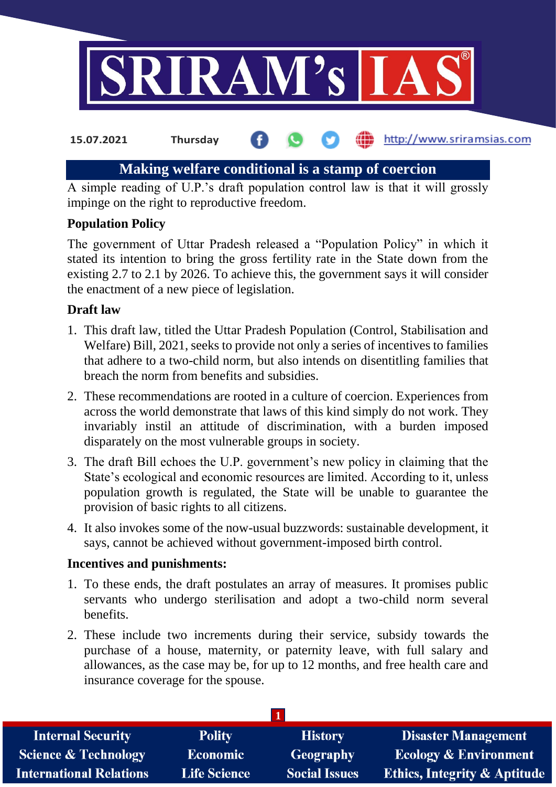

#### http://www.sriramsias.com **15.07.2021 Thursday**

# **Making welfare conditional is a stamp of coercion**

A simple reading of U.P.'s draft population control law is that it will grossly impinge on the right to reproductive freedom.

## **Population Policy**

The government of Uttar Pradesh released a "Population Policy" in which it stated its intention to bring the gross fertility rate in the State down from the existing 2.7 to 2.1 by 2026. To achieve this, the government says it will consider the enactment of a new piece of legislation.

## **Draft law**

- 1. This draft law, titled the Uttar Pradesh Population (Control, Stabilisation and Welfare) Bill, 2021, seeks to provide not only a series of incentives to families that adhere to a two-child norm, but also intends on disentitling families that breach the norm from benefits and subsidies.
- 2. These recommendations are rooted in a culture of coercion. Experiences from across the world demonstrate that laws of this kind simply do not work. They invariably instil an attitude of discrimination, with a burden imposed disparately on the most vulnerable groups in society.
- 3. The draft Bill echoes the U.P. government's new policy in claiming that the State's ecological and economic resources are limited. According to it, unless population growth is regulated, the State will be unable to guarantee the provision of basic rights to all citizens.
- 4. It also invokes some of the now-usual buzzwords: sustainable development, it says, cannot be achieved without government-imposed birth control.

## **Incentives and punishments:**

- 1. To these ends, the draft postulates an array of measures. It promises public servants who undergo sterilisation and adopt a two-child norm several benefits.
- 2. These include two increments during their service, subsidy towards the purchase of a house, maternity, or paternity leave, with full salary and allowances, as the case may be, for up to 12 months, and free health care and insurance coverage for the spouse.

| <b>Internal Security</b>        | <b>Polity</b>       | <b>History</b>       | <b>Disaster Management</b>              |
|---------------------------------|---------------------|----------------------|-----------------------------------------|
| <b>Science &amp; Technology</b> | Economic            | Geography            | <b>Ecology &amp; Environment</b>        |
| <b>International Relations</b>  | <b>Life Science</b> | <b>Social Issues</b> | <b>Ethics, Integrity &amp; Aptitude</b> |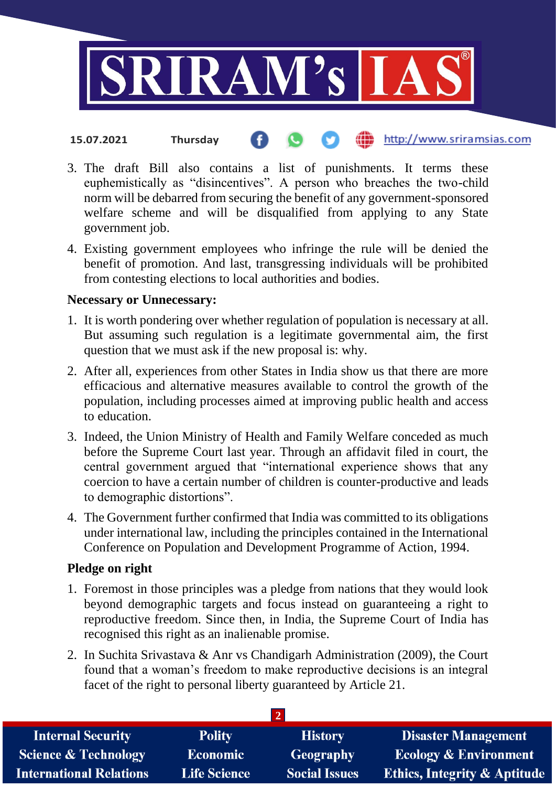

- http://www.sriramsias.com **15.07.2021 Thursday**
- 3. The draft Bill also contains a list of punishments. It terms these euphemistically as "disincentives". A person who breaches the two-child norm will be debarred from securing the benefit of any government-sponsored welfare scheme and will be disqualified from applying to any State government job.
- 4. Existing government employees who infringe the rule will be denied the benefit of promotion. And last, transgressing individuals will be prohibited from contesting elections to local authorities and bodies.

### **Necessary or Unnecessary:**

- 1. It is worth pondering over whether regulation of population is necessary at all. But assuming such regulation is a legitimate governmental aim, the first question that we must ask if the new proposal is: why.
- 2. After all, experiences from other States in India show us that there are more efficacious and alternative measures available to control the growth of the population, including processes aimed at improving public health and access to education.
- 3. Indeed, the Union Ministry of Health and Family Welfare conceded as much before the Supreme Court last year. Through an affidavit filed in court, the central government argued that "international experience shows that any coercion to have a certain number of children is counter-productive and leads to demographic distortions".
- 4. The Government further confirmed that India was committed to its obligations under international law, including the principles contained in the International Conference on Population and Development Programme of Action, 1994.

#### **Pledge on right**

- 1. Foremost in those principles was a pledge from nations that they would look beyond demographic targets and focus instead on guaranteeing a right to reproductive freedom. Since then, in India, the Supreme Court of India has recognised this right as an inalienable promise.
- 2. In Suchita Srivastava & Anr vs Chandigarh Administration (2009), the Court found that a woman's freedom to make reproductive decisions is an integral facet of the right to personal liberty guaranteed by Article 21.

| <b>Internal Security</b>        | <b>Polity</b>       | <b>History</b>       | <b>Disaster Management</b>              |  |  |
|---------------------------------|---------------------|----------------------|-----------------------------------------|--|--|
| <b>Science &amp; Technology</b> | <b>Economic</b>     | <b>Geography</b>     | <b>Ecology &amp; Environment</b>        |  |  |
| <b>International Relations</b>  | <b>Life Science</b> | <b>Social Issues</b> | <b>Ethics, Integrity &amp; Aptitude</b> |  |  |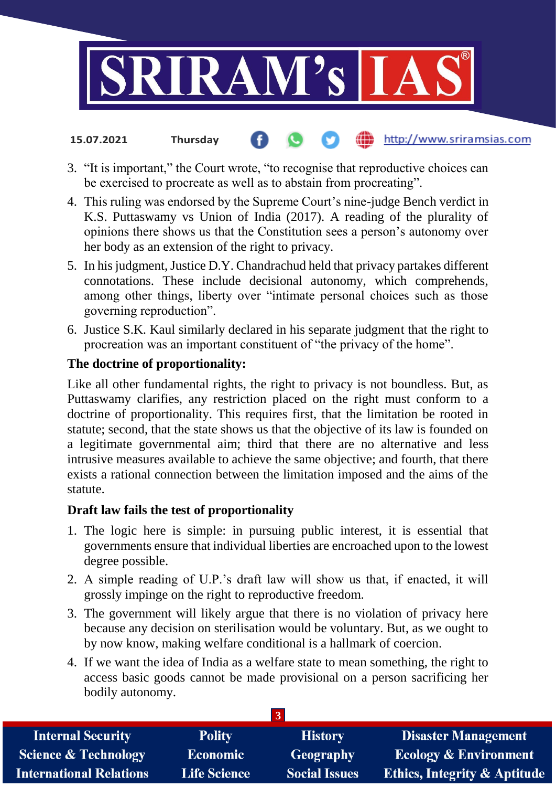

- http://www.sriramsias.com **15.07.2021 Thursday**
- 3. "It is important," the Court wrote, "to recognise that reproductive choices can be exercised to procreate as well as to abstain from procreating".
- 4. This ruling was endorsed by the Supreme Court's nine-judge Bench verdict in K.S. Puttaswamy vs Union of India (2017). A reading of the plurality of opinions there shows us that the Constitution sees a person's autonomy over her body as an extension of the right to privacy.
- 5. In his judgment, Justice D.Y. Chandrachud held that privacy partakes different connotations. These include decisional autonomy, which comprehends, among other things, liberty over "intimate personal choices such as those governing reproduction".
- 6. Justice S.K. Kaul similarly declared in his separate judgment that the right to procreation was an important constituent of "the privacy of the home".

## **The doctrine of proportionality:**

Like all other fundamental rights, the right to privacy is not boundless. But, as Puttaswamy clarifies, any restriction placed on the right must conform to a doctrine of proportionality. This requires first, that the limitation be rooted in statute; second, that the state shows us that the objective of its law is founded on a legitimate governmental aim; third that there are no alternative and less intrusive measures available to achieve the same objective; and fourth, that there exists a rational connection between the limitation imposed and the aims of the statute.

## **Draft law fails the test of proportionality**

- 1. The logic here is simple: in pursuing public interest, it is essential that governments ensure that individual liberties are encroached upon to the lowest degree possible.
- 2. A simple reading of U.P.'s draft law will show us that, if enacted, it will grossly impinge on the right to reproductive freedom.
- 3. The government will likely argue that there is no violation of privacy here because any decision on sterilisation would be voluntary. But, as we ought to by now know, making welfare conditional is a hallmark of coercion.
- 4. If we want the idea of India as a welfare state to mean something, the right to access basic goods cannot be made provisional on a person sacrificing her bodily autonomy.

| <b>Internal Security</b>        | <b>Polity</b>       | <b>History</b>       | <b>Disaster Management</b>              |
|---------------------------------|---------------------|----------------------|-----------------------------------------|
| <b>Science &amp; Technology</b> | <b>Economic</b>     | Geography            | <b>Ecology &amp; Environment</b>        |
| <b>International Relations</b>  | <b>Life Science</b> | <b>Social Issues</b> | <b>Ethics, Integrity &amp; Aptitude</b> |